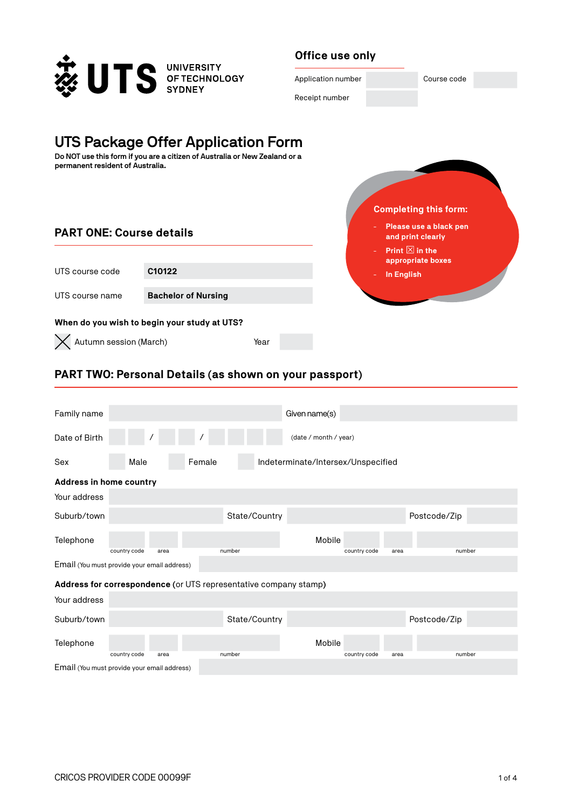

#### **Office use only**



# **UTS Package Offer Application Form**

**Do NOT use this form if you are a citizen of Australia or New Zealand or a permanent resident of Australia.**

#### **PART ONE: Course details**

| UTS course code                              | C <sub>10122</sub>         |  |  |  |  |  |  |
|----------------------------------------------|----------------------------|--|--|--|--|--|--|
|                                              |                            |  |  |  |  |  |  |
| UTS course name                              | <b>Bachelor of Nursing</b> |  |  |  |  |  |  |
|                                              |                            |  |  |  |  |  |  |
| When do you wish to begin your study at UTS? |                            |  |  |  |  |  |  |
|                                              |                            |  |  |  |  |  |  |
| $\times$ Autumn session (March)<br>Year      |                            |  |  |  |  |  |  |

# - **Please use a black pen and print clearly Print**  $\boxtimes$  **in the appropriate boxes** - **In English Completing this form:**

### **PART TWO: Personal Details (as shown on your passport)**

| Family name                                                                                                     |              |      |        |               | Given name(s)                      |              |      |              |  |
|-----------------------------------------------------------------------------------------------------------------|--------------|------|--------|---------------|------------------------------------|--------------|------|--------------|--|
| Date of Birth                                                                                                   |              |      |        |               | (date / month / year)              |              |      |              |  |
| Sex                                                                                                             | Male         |      | Female |               | Indeterminate/Intersex/Unspecified |              |      |              |  |
| <b>Address in home country</b>                                                                                  |              |      |        |               |                                    |              |      |              |  |
| Your address                                                                                                    |              |      |        |               |                                    |              |      |              |  |
| Suburb/town                                                                                                     |              |      |        | State/Country |                                    |              |      | Postcode/Zip |  |
| Telephone                                                                                                       |              |      |        |               | Mobile                             |              |      |              |  |
| country code<br>country code<br>number<br>number<br>area<br>area<br>Email (You must provide your email address) |              |      |        |               |                                    |              |      |              |  |
| Address for correspondence (or UTS representative company stamp)                                                |              |      |        |               |                                    |              |      |              |  |
| Your address                                                                                                    |              |      |        |               |                                    |              |      |              |  |
| Suburb/town                                                                                                     |              |      |        | State/Country |                                    |              |      | Postcode/Zip |  |
| Telephone                                                                                                       | country code | area |        | number        | Mobile                             | country code | area | number       |  |
| Email (You must provide your email address)                                                                     |              |      |        |               |                                    |              |      |              |  |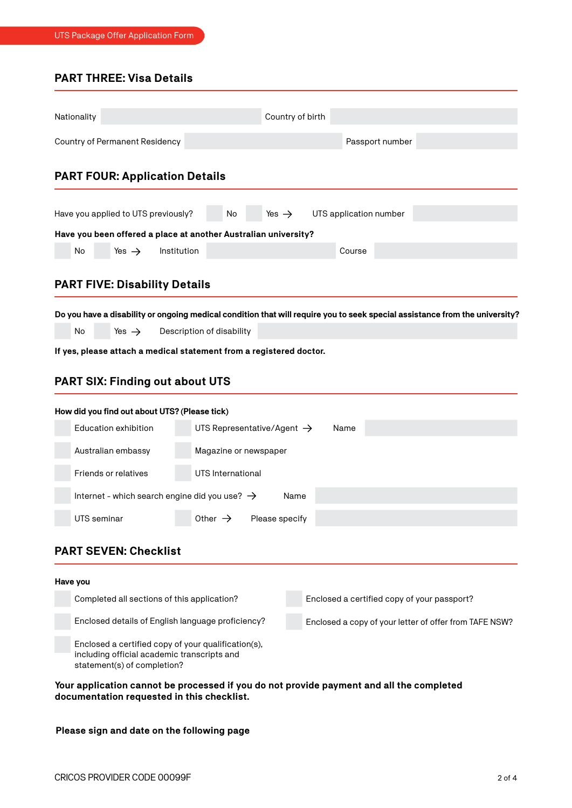### **PART THREE: Visa Details**

|          | Nationality                                                                                                 |                                               |             |                                                                     |                   | Country of birth |                                             |                                                                                                                             |
|----------|-------------------------------------------------------------------------------------------------------------|-----------------------------------------------|-------------|---------------------------------------------------------------------|-------------------|------------------|---------------------------------------------|-----------------------------------------------------------------------------------------------------------------------------|
|          |                                                                                                             |                                               |             |                                                                     |                   |                  |                                             |                                                                                                                             |
|          |                                                                                                             | Country of Permanent Residency                |             |                                                                     |                   |                  | Passport number                             |                                                                                                                             |
|          |                                                                                                             | <b>PART FOUR: Application Details</b>         |             |                                                                     |                   |                  |                                             |                                                                                                                             |
|          |                                                                                                             | Have you applied to UTS previously?           |             | No                                                                  | Yes $\rightarrow$ |                  | UTS application number                      |                                                                                                                             |
|          |                                                                                                             |                                               |             | Have you been offered a place at another Australian university?     |                   |                  |                                             |                                                                                                                             |
|          | No                                                                                                          | Yes $\rightarrow$                             | Institution |                                                                     |                   |                  | Course                                      |                                                                                                                             |
|          |                                                                                                             | <b>PART FIVE: Disability Details</b>          |             |                                                                     |                   |                  |                                             |                                                                                                                             |
|          |                                                                                                             |                                               |             |                                                                     |                   |                  |                                             |                                                                                                                             |
|          |                                                                                                             |                                               |             |                                                                     |                   |                  |                                             | Do you have a disability or ongoing medical condition that will require you to seek special assistance from the university? |
|          | No                                                                                                          | Yes $\rightarrow$                             |             | Description of disability                                           |                   |                  |                                             |                                                                                                                             |
|          |                                                                                                             |                                               |             | If yes, please attach a medical statement from a registered doctor. |                   |                  |                                             |                                                                                                                             |
|          |                                                                                                             | <b>PART SIX: Finding out about UTS</b>        |             |                                                                     |                   |                  |                                             |                                                                                                                             |
|          |                                                                                                             | How did you find out about UTS? (Please tick) |             |                                                                     |                   |                  |                                             |                                                                                                                             |
|          |                                                                                                             | Education exhibition                          |             | UTS Representative/Agent $\rightarrow$                              |                   |                  | Name                                        |                                                                                                                             |
|          | Australian embassy<br>Magazine or newspaper                                                                 |                                               |             |                                                                     |                   |                  |                                             |                                                                                                                             |
|          | Friends or relatives<br>UTS International                                                                   |                                               |             |                                                                     |                   |                  |                                             |                                                                                                                             |
|          | Internet - which search engine did you use? $\rightarrow$<br>Name                                           |                                               |             |                                                                     |                   |                  |                                             |                                                                                                                             |
|          | UTS seminar                                                                                                 |                                               |             | Other $\rightarrow$ Please specify                                  |                   |                  |                                             |                                                                                                                             |
|          |                                                                                                             | <b>PART SEVEN: Checklist</b>                  |             |                                                                     |                   |                  |                                             |                                                                                                                             |
| Have you |                                                                                                             |                                               |             |                                                                     |                   |                  |                                             |                                                                                                                             |
|          |                                                                                                             | Completed all sections of this application?   |             |                                                                     |                   |                  | Enclosed a certified copy of your passport? |                                                                                                                             |
|          | Enclosed details of English language proficiency?<br>Enclosed a copy of your letter of offer from TAFE NSW? |                                               |             |                                                                     |                   |                  |                                             |                                                                                                                             |
|          | Enclosed a certified copy of your qualification(s),                                                         |                                               |             |                                                                     |                   |                  |                                             |                                                                                                                             |

#### **Your application cannot be processed if you do not provide payment and all the completed documentation requested in this checklist.**

#### **Please sign and date on the following page**

including official academic transcripts and

statement(s) of completion?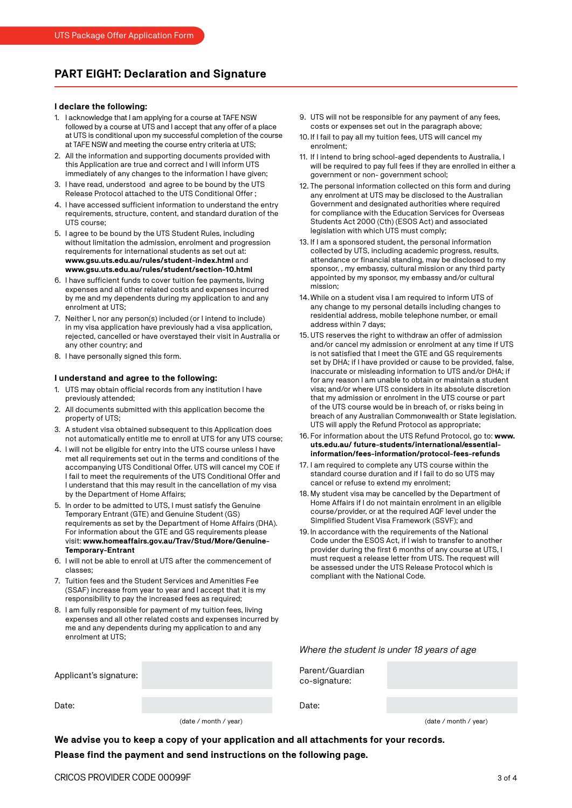#### **PART EIGHT: Declaration and Signature**

#### **I declare the following:**

- 1. I acknowledge that I am applying for a course at TAFE NSW followed by a course at UTS and I accept that any offer of a place at UTS is conditional upon my successful completion of the course at TAFE NSW and meeting the course entry criteria at UTS;
- 2. All the information and supporting documents provided with this Application are true and correct and I will inform UTS immediately of any changes to the information I have given;
- 3. I have read, understood and agree to be bound by the UTS Release Protocol attached to the UTS Conditional Offer ;
- 4. I have accessed sufficient information to understand the entry requirements, structure, content, and standard duration of the UTS course;
- 5. I agree to be bound by the UTS Student Rules, including without limitation the admission, enrolment and progression requirements for international students as set out at: **www.gsu.uts.edu.au/rules/student-index.html** and **www.gsu.uts.edu.au/rules/student/section-10.html**
- 6. I have sufficient funds to cover tuition fee payments, living expenses and all other related costs and expenses incurred by me and my dependents during my application to and any enrolment at UTS;
- 7. Neither I, nor any person(s) included (or I intend to include) in my visa application have previously had a visa application, rejected, cancelled or have overstayed their visit in Australia or any other country; and
- 8. I have personally signed this form.

#### **I understand and agree to the following:**

- 1. UTS may obtain official records from any institution I have previously attended;
- 2. All documents submitted with this application become the property of UTS;
- 3. A student visa obtained subsequent to this Application does not automatically entitle me to enroll at UTS for any UTS course;
- 4. I will not be eligible for entry into the UTS course unless I have met all requirements set out in the terms and conditions of the accompanying UTS Conditional Offer. UTS will cancel my COE if I fail to meet the requirements of the UTS Conditional Offer and I understand that this may result in the cancellation of my visa by the Department of Home Affairs;
- 5. In order to be admitted to UTS, I must satisfy the Genuine Temporary Entrant (GTE) and Genuine Student (GS) requirements as set by the Department of Home Affairs (DHA). For information about the GTE and GS requirements please visit: **www.homeaffairs.gov.au/Trav/Stud/More/Genuine-Temporary-Entrant**
- 6. I will not be able to enroll at UTS after the commencement of classes;
- 7. Tuition fees and the Student Services and Amenities Fee (SSAF) increase from year to year and I accept that it is my responsibility to pay the increased fees as required;
- 8. I am fully responsible for payment of my tuition fees, living expenses and all other related costs and expenses incurred by me and any dependents during my application to and any enrolment at UTS;

| 9. UTS will not be responsible for any payment of any fees, |
|-------------------------------------------------------------|
| costs or expenses set out in the paragraph above;           |

- 10. If I fail to pay all my tuition fees, UTS will cancel my enrolment;
- 11. If I intend to bring school-aged dependents to Australia, I will be required to pay full fees if they are enrolled in either a government or non- government school;
- 12. The personal information collected on this form and during any enrolment at UTS may be disclosed to the Australian Government and designated authorities where required for compliance with the Education Services for Overseas Students Act 2000 (Cth) (ESOS Act) and associated legislation with which UTS must comply;
- 13. If I am a sponsored student, the personal information collected by UTS, including academic progress, results, attendance or financial standing, may be disclosed to my sponsor, , my embassy, cultural mission or any third party appointed by my sponsor, my embassy and/or cultural mission;
- 14.While on a student visa I am required to inform UTS of any change to my personal details including changes to residential address, mobile telephone number, or email address within 7 days;
- 15. UTS reserves the right to withdraw an offer of admission and/or cancel my admission or enrolment at any time if UTS is not satisfied that I meet the GTE and GS requirements set by DHA; if I have provided or cause to be provided, false, inaccurate or misleading information to UTS and/or DHA; if for any reason I am unable to obtain or maintain a student visa; and/or where UTS considers in its absolute discretion that my admission or enrolment in the UTS course or part of the UTS course would be in breach of, or risks being in breach of any Australian Commonwealth or State legislation. UTS will apply the Refund Protocol as appropriate;
- 16. For information about the UTS Refund Protocol, go to: **www. uts.edu.au/ future-students/international/essentialinformation/fees-information/protocol-fees-refunds**
- 17. I am required to complete any UTS course within the standard course duration and if I fail to do so UTS may cancel or refuse to extend my enrolment;
- 18. My student visa may be cancelled by the Department of Home Affairs if I do not maintain enrolment in an eligible course/provider, or at the required AQF level under the Simplified Student Visa Framework (SSVF); and
- 19. In accordance with the requirements of the National Code under the ESOS Act, if I wish to transfer to another provider during the first 6 months of any course at UTS, I must request a release letter from UTS. The request will be assessed under the UTS Release Protocol which is compliant with the National Code.

*Where the student is under 18 years of age*

Parent/Guardian co-signature:

Date:

Date:

Applicant's signature:

(date / month / year)

(date / month / year)

**We advise you to keep a copy of your application and all attachments for your records. Please find the payment and send instructions on the following page.**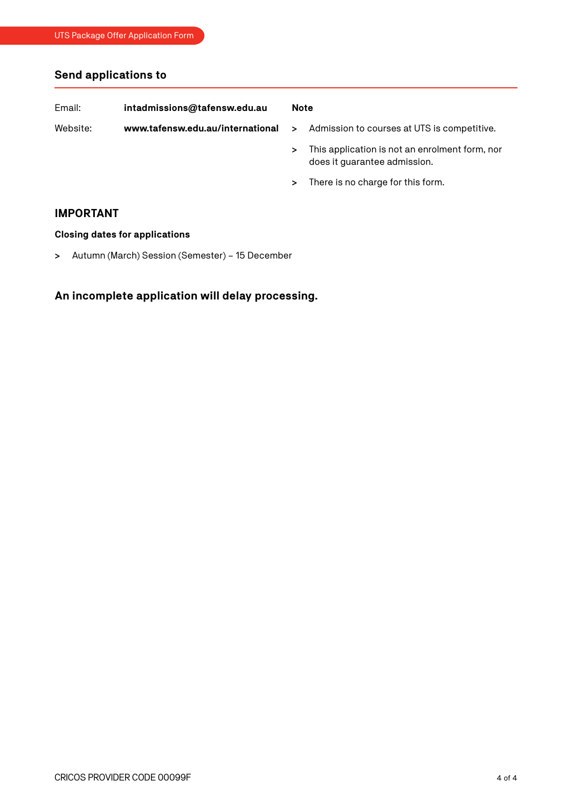## **Send applications to**

| Email:<br>intadmissions@tafensw.edu.au |                                  | <b>Note</b> |                                                                                |  |
|----------------------------------------|----------------------------------|-------------|--------------------------------------------------------------------------------|--|
| Website:                               | www.tafensw.edu.au/international | ⋗           | Admission to courses at UTS is competitive.                                    |  |
|                                        |                                  | ⋗           | This application is not an enrolment form, nor<br>does it guarantee admission. |  |

**>** There is no charge for this form.

#### **IMPORTANT**

#### **Closing dates for applications**

**>** Autumn (March) Session (Semester) – 15 December

## **An incomplete application will delay processing.**